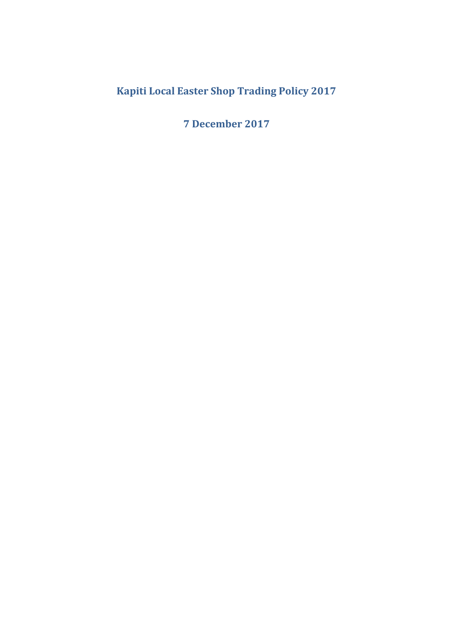# **Kapiti Local Easter Shop Trading Policy 2017**

**7 December 2017**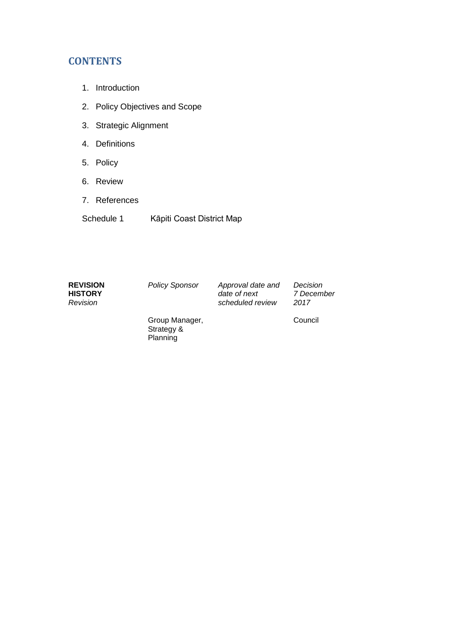# **CONTENTS**

- 1. Introduction
- 2. Policy Objectives and Scope
- 3. Strategic Alignment
- 4. Definitions
- 5. Policy
- 6. Review
- 7. References
- Schedule 1 Kāpiti Coast District Map

| <b>REVISION</b> |
|-----------------|
| <b>HISTORY</b>  |
| Revision        |

*Policy Sponsor Approval date and date of next scheduled review* 

*Decision 7 December 2017*

Group Manager, Strategy & Planning

Council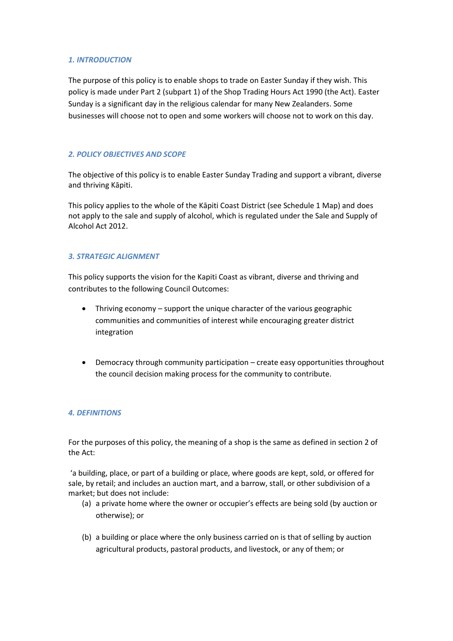# *1. INTRODUCTION*

The purpose of this policy is to enable shops to trade on Easter Sunday if they wish. This policy is made under Part 2 (subpart 1) of the Shop Trading Hours Act 1990 (the Act). Easter Sunday is a significant day in the religious calendar for many New Zealanders. Some businesses will choose not to open and some workers will choose not to work on this day.

# *2. POLICY OBJECTIVES AND SCOPE*

The objective of this policy is to enable Easter Sunday Trading and support a vibrant, diverse and thriving Kāpiti.

This policy applies to the whole of the Kāpiti Coast District (see Schedule 1 Map) and does not apply to the sale and supply of alcohol, which is regulated under the Sale and Supply of Alcohol Act 2012.

# *3. STRATEGIC ALIGNMENT*

This policy supports the vision for the Kapiti Coast as vibrant, diverse and thriving and contributes to the following Council Outcomes:

- Thriving economy support the unique character of the various geographic communities and communities of interest while encouraging greater district integration
- Democracy through community participation create easy opportunities throughout the council decision making process for the community to contribute.

# *4. DEFINITIONS*

For the purposes of this policy, the meaning of a shop is the same as defined in section 2 of the Act:

'a building, place, or part of a building or place, where goods are kept, sold, or offered for sale, by retail; and includes an auction mart, and a barrow, stall, or other subdivision of a market; but does not include:

- (a) a private home where the owner or occupier's effects are being sold (by auction or otherwise); or
- (b) a building or place where the only business carried on is that of selling by auction agricultural products, pastoral products, and livestock, or any of them; or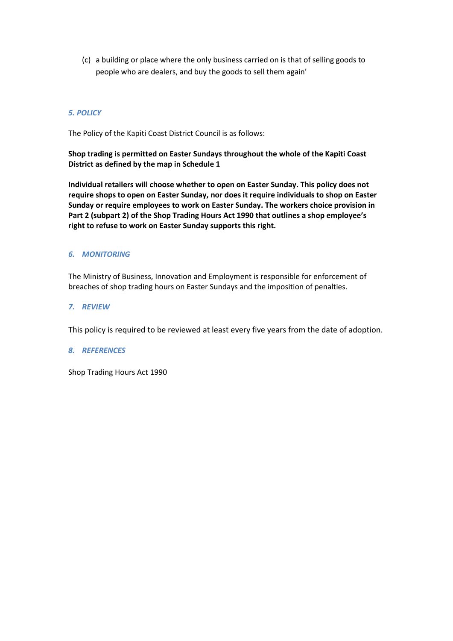(c) a building or place where the only business carried on is that of selling goods to people who are dealers, and buy the goods to sell them again'

# *5. POLICY*

The Policy of the Kapiti Coast District Council is as follows:

**Shop trading is permitted on Easter Sundays throughout the whole of the Kapiti Coast District as defined by the map in Schedule 1**

**Individual retailers will choose whether to open on Easter Sunday. This policy does not require shops to open on Easter Sunday, nor does it require individuals to shop on Easter Sunday or require employees to work on Easter Sunday. The workers choice provision in Part 2 (subpart 2) of the Shop Trading Hours Act 1990 that outlines a shop employee's right to refuse to work on Easter Sunday supports this right.**

# *6. MONITORING*

The Ministry of Business, Innovation and Employment is responsible for enforcement of breaches of shop trading hours on Easter Sundays and the imposition of penalties.

# *7. REVIEW*

This policy is required to be reviewed at least every five years from the date of adoption.

# *8. REFERENCES*

Shop Trading Hours Act 1990